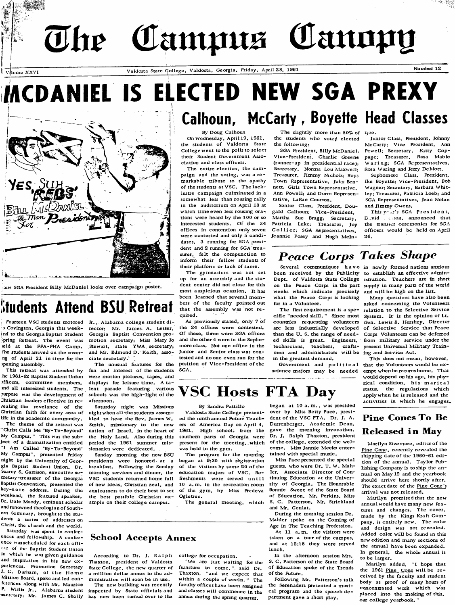# The Campus Canopy

YES SUH

MEDANCEL Man Preside

**opening assembly.**

**This retreat was attended by ke 1961-62 Baptist Student Union officers, comm ittee m em bers, rnd a ll interested students. The purpose** was the development of Christian leaders effective in re*vealing the revelance of the* Christian faith for every area of life in the academic community. The theme of the retreat was Christ Calls Me 'By-To-Beyond' **My Campus. " This was the subject o f a dram atization entitled** 'I Am Called 'By-To-Beyond' **My Campus", presented Friday** night by the University of Geor**gia Baptist Student Union. Dr. Searcy S. Garrison, executive se**  cretary-treasurer of the Georgia **Baptist Convention, presented the k e y -n o te address. During the weekend, the featured speaker.** Dr. Dale Moody, eminent scholar and renowned theologian of South**ern Seminary, brought to the stu**dents a scries of addresses on Christ, the church and the world. Saturday was spent in conferences and fellowship. A conference was scheduled for each offi-**^ ' r of the Baptist Student Union** in which he was given guidance and inspiration in his new ex-

ر<br>کانامهای کاربانه به یاد با کاربان دارد که به داشت که باشد و سر سر سر دارد به دارد که باشد و این معمولات از دار

**pericnces. Promotion Secretary J. C. Durham, of the Home MiEsion Board, speke and led con**  ferences along with Mr. Maurice **P.** Willis Jr., Alabama student

**ridate College, Valdosta, Georgia, Friday, April 28, 1961 Mumber 12 Number 12** 

# **INCDANIEL IS ELECTED NEW SGA PREXY Calhoun, McCarty, Boyette Head Classes**

#### **By Doug Calhoun**

On Wednesday, April 19, 1961, the students of Valdosta State College went to the polls to select their Student Government Asso**ciation and class officers.**

The entire election, the campaign and the voting, was a re**m arkab le tribute to the apathy** of the students at VSC. The lacklustre campaign culminated in a somewhat less than rousing rally in the auditorium on April 18 at which time even less rousing ora**tions w ere heard by the 100 or so** interested students. Of the 24 **offices in contention only seven** were contested and only 5 candi**dates, 3 running for SGA president and 2 running for SGA trea**  surer, felt the compunction to inform their fellow students of their platform or lack of same.

The gymnasium was not set up for an assembly and the stu**dent center did not close for this most auspicious ocassion. It has** been learned that several members of the faculty pointed out that the assembly was not required.

The unusual features for the position of Vice-President of the As previously stated, only 7 of the 24 offices were contested. Of these, three were SGA offices and the other 4 were in the Sophomore class. Not one office in the Junior and Senior class was con**tested and no one even ran for the SGA**.

The slightly more than 50% of tyre. the students who voted elected the following:

**SGA President, Billy McDaniel;** Vice-President, Charlie Greene (runner-up in presidential race); Secretary, Norma Lou Maxwell; Treasurer, Jimmy Nichols; Boys **Town Representative, John Bennett; Girls Town Repeesentative.** Ann Powell; and Dorm Represen**tative, LaRae Courson.**

Senior Class, President, Dougald Calhoun; Vice-President, **Martha Sue Bragg; Secretary, Patricia Luke; Treasurer, Joy Co llier; SGA Representatives,** Jeannie Posey and Hugh McIn-

Junior Class, President, Johnny McCarty; Vice President, Ann Powell; Secretary, Kitty Coppage: Treasurer, Rosa Mable **Waring; SGA Representatives,** Rosa Waring and Jerry DeMott.

**Sophomore Class, President,** Ike Boyette; Vice-President, Bob Wagner; Secretary, Barbara Whitley; Treasurer, Patricia Loeb; and **SGA Representatives, Jean Nolan** and Jimmy Owens.

This year's SGA President. **D .vid c ron, announced that** the transier ceremonies for SGA officers would be held on April **26.**

## **Peace Corps Takes Shape**

**been rece ived by the Publicity^ to establish an e ffective adm in**  Dept. of Valdosta State College is<del>tr</del>ation. Teachers are in short on the Peace Corps in the past supply in many parts of the world **weeks wh ich ind icate prec ise ly and w i l l b e h igh on the list.** what the Peace Corps is looking for in a Volunteer.

cific "needed skill." Since most System. It is the opinion of Lt. **countries requesting volunteers are less industrially deve loped o f Se lective Service that Peace** than the U. S. the range of need**ed skills is great . Engineers, technicians, teachers, crafts**men and administrators will be ing and Service Act. in the greatest demand.

**Severa l comm un iques have in new ly form ed nations anxious**

The first requirement is a spe- relation to the Selective Service **M any questions have also been** asked concerning the Volunteers Gen. Lewis B. Hershey, Director **Corps Volunteers can be deferred** from military service under the present Universal Military Train-

Government and political that the Volunteers would be ex-This does not mean, however, would depend on his age, his physical condition, his marital status, the regulations which apply when he is released and the activities in which he engages.

## **VSC Hosts FTA Day**

**By Sandra Pattillo**

Valdosta State College presented the ninth annual Future Teachers of America Day on April 4, 1961. High schools from the present for the meeting, which of the college, extended the welwas held in the gym.

**The program for the morning** began at 9:30 with registration of the visitors by some 20 of the education majors of VSC. Re**ffeshments were served until**

The general meeting, which

#### began at 10 a.m., was presided over by Miss Betty Pace, president of the VSC FTA. Dr. J. A. Durrenberger, Academic Dean, gave the morning invocation. Dr. J. Ralph Thaxton, president come. Miss Jannie Meeks entertained with special music.

**Miss Pace presented the special** guests, who were Dr. T. W. Mahler, Associate Director of Continuing Education at the University of Georgia. The Honorable **Ronnie** Sweet of the State Board of Education, Mr. Perkins, Miss S. C. Patterson, Mr. Strickland and Mr. Genlat.

During the morning session Dr. Mahler spoke on the Coming of Age in The Teaching Profession.

**At 11 a.m. the visitors were** taken on a tour of the campus, and at 12:15 they were served lunch.

**In the afternoon session Mrs. S. C. Patterson of the State Board** of Education spoke of the Trends of the Future.

Following Mr. Patterson's talk the Serenaders presented a musical program and the speech department gave a short play.

## **Pine Cones To Be Released in May**

**Marilyn Sizemore, editor of the** Pine Cone, recently revealed the shipping date of the 1960-61 edition of the annual. Taylor Pub**lishing Company is to ship the an**  nual on May 12 and the yearbook **should arrive here shortly after.** The exact date of the Pine Cone's arrival was not released.

**M arilyn prom ised that the new annual wou ld have m any new fe a tures and changes. The cover,** made by the Kings Kraft Company, is entirely new. The color and design was not revealed. Added color will be found in this new edition and many sections of **the annual have been expanded .** In general, the whole annual is **to be larger.**

Marilyn added, "I hope that the 1961 Pine Cone will be received by the faculty and student body as proof of many hours of **concentrated work which was** placed into the making of this, our college yearbook."

#### **2 Covington, Georgia this weekind to the Georgia Baptist Student Georgia Baptist Convention pro-[ pring Retreat. The event was teld** at the FFA-FHA Camp. The students arrived on the even**ng o f April 21 in tim e for the** rector; Mr. James A. Lester, motion secretary; Miss Mary Jo Stewart, state YWA secretary; and Mr. Edmond D. Keith, associate secretary.<sup> $\sim$ </sup>

**^ew SGA President B illy M cD an ie l looks over cam pa ign pester.**

**tudents Attend BSU Retreat**

Fourteen VSC students motored Ir., Alabama college student di-

fun and interest of the students **w ere m otion pictures, tapes, and** displays for leisure time. A ta**lent parade featuring various** schools was the high-light of the **afternoon.**

**Saturday night was Missions** night when all the students assem**b led to hear the Rev. James W .** Smith, missionary to the new nation of Israel, in the heart of the Holy Land. Also during this southern parts of Georgia were period the 1961 summer missionaries were dedicated.

**Sunday morning the new BSU presidents were honored at a** breakfast. Following the Sunday **morning services and dinner, the** VSC students returned home full **o f new ideas, Christian z e a l, and 10 a. m . in the recreation room** anxiousness to do their best to set of the gym, by Miss Predeva the best possible Christian ex- Ogletree. ample on their college campus.

#### **School Accepts Annex**

**According to Dr. J. Ralph**

**secretary; Mr. James C . Sheily has now been turned over to the** The new building was recently inspected by State officials and

Thaxton, president of Valdosta State College, the new quarter of a million dollar annex to the ad**ministration will soon be in use.**

college for occupation.

**We arc just waiting for the** furniture to come," said Dr. **Thaxton, "and we expect that** within a couple of weeks. " The **faculty offices have been assigned** and classes will commence in the **annex during the spring quarter.**

**sc ience m ajors m ay be needed em pt when he returns hom e . That**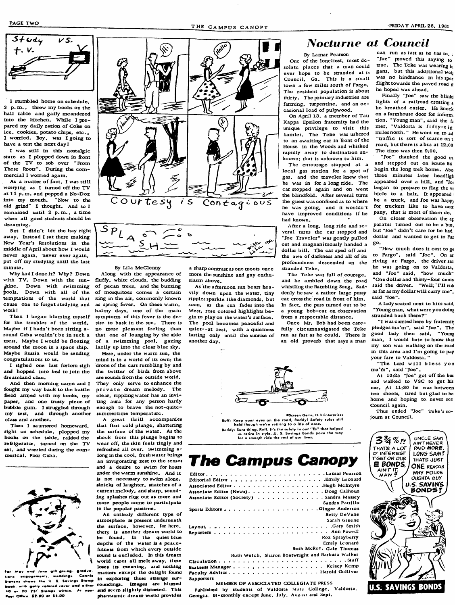

I stumbled home on schedule. 3 p.m., threw my books on the hall table and gaily meandered into the kitchen. While I prepared my daily ration of Coke on ice, cookies, potato chips, etc.. I worried. Boy, was I going to have a test the next day!

I was still in this nostalgic state as I plopped down in front of the TV to sob over "**Prom** These Roots". During the commercial I worried again.

As a matter of fact, I was still worrying as I turned off the TV at 11 p.m. and popped a No-Doz into my mouth. "Now to the old grind" I thought. And so I remained until 2 p.m., a time when all good students should be dreaming.

But I didn't hit the hay right away. Instead I sat there making New Year's Resolutions in the middle of April about how I would never again, never ever again, put off my studying until the last **m inute .**

Why had I done it? Why? Down with TV. Down with the sunhine. Down with swimming pools. Down with all of the temptations of the world that **cause one to forget studying and w ork !**

for the troubles of the world. Maybe if I hadn't been sitting a**round Cuba w ou ldn 't be in such a** mess. Maybe I would be floating **around the m oon in a spece ship. Maybe Russia would be sending** congratulations to us.

**I sighed one last forlorn sigh** and hopped into bed to join the **dream land c lan .**

And then morning came and I fought my way back to the battle field armed with my books, my paper, and one trusty piece of bubble gum. I struggled through **my test, and through another class and another.**

Then I sauntered homeward, right on schedule, plopped my books on the table, raided the refrigerator, turned on the TV set, and worried during the com**m erica l. Poor Cuba .**



id *June gift* giving: gradvatiens engagements, weddings. Connie Stevens shows the U.S. Sevings Stamp book, with gaily colored cover and either **Past Office, \$2.80 or \$5.00** 





**By Lila McClenny** 

**Then I began blaming myself symptoms of this fever is the de-**Along with the appearance of fluffy, white clouds, the budding of pecan trees, and the buzzing of mosquitoes comes a certain zing in the air, commonly known **as spring fever. On these w arm ,** balmy days, one of the main **sire to bask in the sun. There is** no more pleasant feeling than that one of lounging by the side of a swimming pool, gazing lazily up into the clear blue sky.

Here, under the warm sun, the mind is in a world of its own: the drone of the cars rumbling by and the twitter of birds from above **arc sounds &om the outside w orld .** They only serve to enhance the private dream melody. The clear, rippling water has an invi**ting aura for any person hardy** enough to brave the not-quitesummertime temperature.

A great thrill accompanies that first cold plunge, shattering the surface of the water. As the shock from this plunge begins to wear off, the skin feels tingly and refreshed all over. Swimming along in the cool, fresh water brings **an invigorating zest to the senses** and a desire to swim for hours under the warm sunshine. And it is not necessary to swim alone; sl*xieks* of laughter, snatches of a current melody, and sharp, sound**ing splashes riqg out as more and** more people come to particip in the popular pastime.

**ars 20 (25° Siamps within. At your and seem slightly distorted. This** An cntircly different type of **atmospiicre is present underneath** the surface, however, for here, **ther^ is another dream worid to be found. In the quiet biue** depths of the water is a peacefulness from which every outside sound is excluded. In this dream world cares all melt away, time loses its meaning, and nothing **matters except t!ie de light found** in exploring these strange sur**roundings. im ages are blurred** phantasmic dream world provides

**a sharp contrast as one meets once m ore the sunshine and gay enthusiasm above .**

As the afternoon sun bears heavily down upon the water, tiny ripples sparkle like diamonds, but **soon, as the sun fades into the** West, rose colored highlights be**g in to p lay on the w ater's surface.** The pool becomes peaceful and quiet--at rest, with a quietness lasting only until the sunrise of another day.



Ruff: Keep your eyes on the road, Reddy! Sately rules still<br>hold though we're retiring to o life of eose. **CScreen Gems, H-B Enterprisos** Reddy: Sure thing, Ruff. It's the safety in our "Es" that helped us retire in style. U. S. Sovings Bonds pave the way<br>for a smooth ride the rest of our lives.

# **The Campus Canopy**

**E d ito r .........................................................................................L am ar Pearson E d ito r ia l E d i t o r ......................................................................Em ily Leonard Associated Editor .**................................Hugh McIntyre **Associate Editor (News)....................Doug Calhoun** Associate Editor (Society) . . . . . . . . . . . . . . . Sandra Massey Sandra Pattillo **Sperts Editors .......................... ....................................... G in ger Anderson Betty DeVane Sarah Greene L ^ ^ a s . . ................................................................................ G^ySmUh R e p o r t e r s ........................................................................................ Ann Pow e i! Koz Sprayberry Em ily Leonard Beth McRee, Gale Thomas Ruth Welch.** Sharon Boatwright and Barbara Walker **C U c u ia U o n . . . . ................................. \* \* \***

**. .................................................... K e sM y k ^m p Facu lty A d v i s o r .................................................................. H aroid G u liiv cr Supporters**

**MEMBER OF A SSOCIATED COLLEGIATE PRESS** Published by students of Valdosta State College, Valdosta, Georgia. Bi-monthly except June. July. August and Sept.

#### **Nocturne at Council**

solate places that a man could **By Lamar Pearson** One of the loncliest, most dc**ever hope to be stranded at is** Council, Ga., This is a small town a few miles south of Fargo. The resident population is about **thirty. The prim ary industries are** farming, turpentine, and an occasional load of pulpwood.

On April 13, a member of Tau **Kappa Epsilon ffaternity had the** unique privilege to visit this hamlet. The Teke was ushered to an awaiting car in front of the **House in the Woods and whisked** rapidly away to destination unknown; that is unknown to him.

The entourage stopped at a local gas station for a spot of gas. and the traveler knew that he was in for a long ride. The car stopped again and on went the blindfold. After several turns **the guest was confused as to where** he was going, and it wouldn't have improved conditions if he **had known.**

**A fter a long, long ride and se**  veral turns the car stopped and "Joe Traveler" was gently pulled out and magnanimously handed a dollar bill. The car sped off and the awe of darkness and all of its **profoundness descended on the** stranded Teke.

The Teke was full of courage. and he ambled down the road whistling the Rambling Song. Sud-<br>denly be saw a rather large pussy as far as my dollar will carry me". denly he saw a rather large pussy as far as my out of him said "Joe". cat cross the road in front of him. **In fact, the puss turned out to be** a young bob-cat on observation from a respectable distance.

Once Mr. Bob had been carefully circumnavigated the Teke ran as fast as he could. There is **an o ld proverb that says a man**

**can run as fast as nc nas to, ;** "Joe" proved this saying to **true. The Teke was wearing bi** gans, but this additional well was no hindrance in his spee **flight towards the paved road d he hoped was ahead .**

Finally "Joe" saw the blink lights of a railroad crossing a **he breathed easier. He knoch on a farmhouse door for inform;** tion. "Young man", said the fa mer. "Valdosta is fifty-eig **m iles north. " He went on to ad** "traffic is sort of scarce on t road, but there is a bus at 12:00 The time was then 9:00.

**"Joe" thanked the good m and stepped out on Route 94** begin the long trek home. Abo three minutes later headligh appeared over a hill, and "Jo<sub>i</sub> **began to prepare to flag the v(** hicle to a halt. It appeared **b e a truck, and Joe was happ)** for truckers like to have con pany, that is most of them do.

**On closer observation the ap paratus turned out to be a bus, but "Joe" d idn 't care for he had** dollar and wanted to get to Far **go .**

"How much does it cost to ge to Fargo", said "Joe". On ar **riv ing at Fargo, the driver sai** he was going on to Valdosta. and "Joe" said, "how much" "One dollar and thirty-four cents

**A lady seated next to him said,** "Young man, what were you doing **stranded back there?"**

**" I was carried here by fratemit]** pledges ma'm", said "Joe". The **good lady then said, "Young** man, I would hate to know that my son was walking on the road in this area and I'm going to pay **your fare to Valdosta. "**

"The Lord will bless you ma'm", said "Joe".

At 10:25 "Joe" got off the bus and walked to VSC to get his car. At 11:30 he was between two sheets, tired but glad to be **home and hoping to never see** Council again.

Thus ended "Joe" Teke's so**journ at Council.**

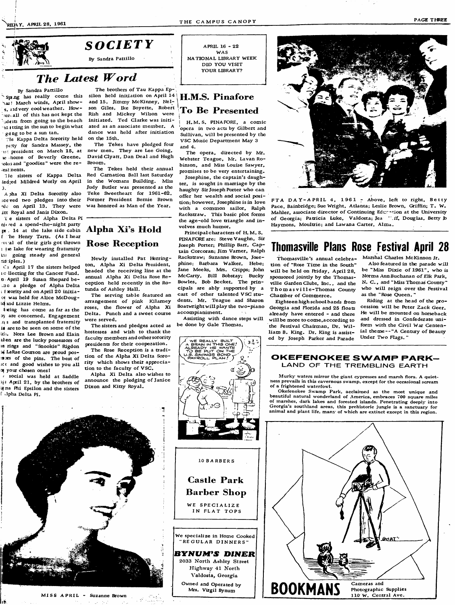

#### **g**  $GCIETY$ **By Sandra Pattillo**

### The Latest Word

**By Sandra Pattillo**

**^ar! March winds, Ap ril show**  s. and very cool weather. How*reriall* of this has not kept the **udaits from going to the beach** going to be a sun tan.

**Tie Kappa D e lta Sorority held on the 15th.** party for Sandra Massey, the **president on March 15, at te home of Beverly Greene.** \*okis and "goodies" were the re**estnents.**

1le sisters of Kappa Delta led;ed Mildred Worly on April 3**.**

A pha Xi Delta Sorority also **:ce ved two p ledges into their Itr Royal and Janis Dixon.** 

Te sisters of Alpha Delta Pi njezed a spend-the-night party **pr** . 14 at the lake side cabin **Alpha Xi's Hold** f he Henry Tarts. (As I hear veal of their girls got thrown **Rose Reception** 1 i.e lake for wearing fraturnity **Linu going steady and general** rid **ip le s .)**

**illuming 17** the sisters helped 1c liecting for the Cancer Fund. **a April 19 Susan Shepard b e - 3 c a p ledge o f A lpha D e lta L ixo rity and on A p r il 20 in it ia**  of was held for Alice McDoug-**Let and Lizzie Helms.** 

*<u>\$xing</u>* has come as far as the **oy** are concerned. Engagement **n s and transplanted fraternity** is are to be seen on some of the **ud:. Nora Lee Brown and E lain ilen are the lucky possessors of 19 rings and "Snook ie" Rigdon LaRae Courson are proud po s - :aors** of the pins. The best of ICC and good wishes to you all **0^ your chosen ones!**

**I social was held at Saddle**  $A$ **pril 21, by the brothers of Lana Phi Epsilon and the sisters f** Jpha Delta Pi.

**Sping has really come this silon held initiation on April 14 Td ittingin the sun to beg in what ated as an associate m em ber . A** The brothers of Tau Kappa Epand 15. Jimmy McKinney, Nelson Giles, Ike Boyette, Robert **Rish and Mickey Wilson were** initiated. Ted Clarke was initidance was held after initiation

> The Tekes have pledged four new men. They are Lee Going. David Clyatt, Dan Deal and Hugh **Broom .**

de on April 13. They were was honored as Man of the Year. **The Tekes held their annual Red Carnation Ball last Saturday** in the Womans Building. Miss **Judy Butler was presented as the Teke Sweetheart for 1961 -62 . Former President Bernie Brown**

Newly installed Pat Herrington. Alpha Xi Delta President. headed the receiving line at the annual Alpha Xi Delta Rose Re**ception held recently in the Ro**tunda of Ashley Hall.

The serving table featured an arrangement of pink Kilarney roses, the flower of Alpha Xi Delta. Punch and a sweet course **w ere served.**

The sisters and pledges acted as hostesses and wish to thank the **facu lty m em bers and other sorority peesidents for their cooperation .**

The Rose Reception is a tradition of the Alpha Xi Delta Sorority which shows their appreciation to the faculty of VSC.

Alpha Xi Delta also wishes to announce the pledging of Janice Dixon and Kitty Royal.

**APRIL 16 - 22 W AS NA TIONAL LIBRARY WEEK DID YOU VISIT YOUR LIBRARY?** 

#### **H.M.S. Pinafore To Be Presented**

**{ H .M . S. PINAFORE , a com ic opera in two acts by Gilbert and** Sullivan, will be presented by the **VSC Music Department May 3 and 4.**

The opera, directed by Mr. Webster Teague, Mr. Lavan Ro**binson, and Miss Louise Sawyer,** promises to be very entertaining.

**Josephine, the capta in 's daugh**  ter, is sought in marriage by the **haughty Sir Joseph Porter who can** offer her wealth and social position: however, Josephine is in love with a common sailor, Ralph **Rackstraw.** This basic plot forms the age-old love triangle and involves much humor.

Principal characters of H. M. S. **PINAFORE are: Steve V aughn , Sir** Joseph Porter: Phillip Barr, Captain Corcoran: Jim Varner, Ralph **Rackstraw; Suzanne Brown, Jose**phine; Barbara Walker, Hebe; Jane Meeks, Mrs. Cripps; John **M cC arty , B ill Bobstay; Bucky Bow les, Bob Becket. The prin**  cipals are ably supported by a cast of other talented VSC students. Mr. Teague and Sharon Boatwright will play the two-piano **accom p ian im en t.**  $\sim 100$ 

Assisting with dance steps will be done by Gale Thomas.

 $\begin{array}{ll}\n\text{A} & \text{WET} & \text{BULT} \\
\text{A} & \text{BRAW} & \text{IN} & \text{THS} & \text{ONE}\n\end{array}$ ALREADY HE WANTS<br>TO BE PUT ON THE<br>U.S. SAVINGS BOND<br><sub>\</sub>PAYROLL PLAN!)



FTA DAY-APRIL 4, 1961 - Above, left to right, Betty Pace, Bainbridge; Sue Wright, Atlanta; Leslie Brown, Griffin; T. W. **Mahler, associate director of Continuing Eduration at the University** of Georgia; Patricia Luke, Valdosta; Jea <sup>r</sup>if, Douglas, Betty b Haymons, Moultrie; and Lawana Carter, Alma,

## **Thomasville Plans Rose Festival April 28**

Thomasville's annual celebration of "Rose Time in the South" will be held on Friday, April 28, sponsored jointly by the Thomasville Garden Clubs, Inc., and the **Thomasville-Thomas County Chamber of Commerce.** 

Eighteen high school bands from **G eotg ia and Florida and 25 floats a lready have entered - and there** will be more to come, according to the Festival Chairman, Dr. William B. King. Dr. King is assist**ed by Joseph Parker and Parade**

Marshal Charles McKinnon Jr. Also featured in the parade will be "Miss Dixie of 1961", who is Norma Ann Buchanan of Elk Park, N. C., and "Miss Thomas County" who will reign over the Festival **as the "Rose Queen . "**

Riding at the head of the procession will be Peter Zack Geer. He will be mounted on horseback and dressed in Confederate uniform with the Civil War Centenial theme -- "A Century of Beauty Under Two Flags."

#### **OKEFENOKEE SWAMP PARK-**LAND OF THE TREMBLING EARTH

Murky waters mirror the giant cypresses and marsh flora. A quiet**ness prevails in this cavernous swamp, except for the occasional scream of a frightened waterfow!.**

**Okefenokee Swamp Park, acclaimed as the most unique and beautiful natural wonderland of America, embraces 700 square miles of inarshcs, dark lakes and forested islands. Penetrating deeply into Georgia's southland areas, this prehistoric jungle is a sanctuary for animal and plant life, many of which are extinct except in this region.**





**MISS APRIL - Suzanne Brown Production** 

**lOBARBERS Castle Park** 

**Barber Shop** 

**WE S P E C IA L IZ E IN FLAT TOPS**

We specialize in Home Cooked "REGULAR DINNERS"

**BYNUM'S DINER 2033 North Ashley Street Highway 41 North Valdosta, Georgia Owned and Operated by** Mrs. Virgil Bynum